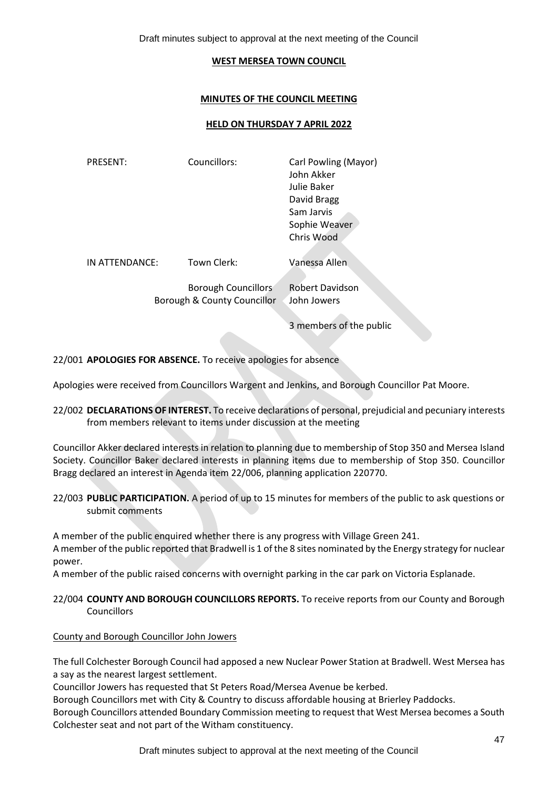Draft minutes subject to approval at the next meeting of the Council

### **WEST MERSEA TOWN COUNCIL**

### **MINUTES OF THE COUNCIL MEETING**

#### **HELD ON THURSDAY 7 APRIL 2022**

| <b>PRESENT:</b> | Councillors:                                              | Carl Powling (Mayor)<br>John Akker<br>Julie Baker<br>David Bragg<br>Sam Jarvis<br>Sophie Weaver<br>Chris Wood |
|-----------------|-----------------------------------------------------------|---------------------------------------------------------------------------------------------------------------|
| IN ATTENDANCE:  | Town Clerk:                                               | Vanessa Allen                                                                                                 |
|                 | <b>Borough Councillors</b><br>Borough & County Councillor | <b>Robert Davidson</b><br>John Jowers                                                                         |

3 members of the public

22/001 **APOLOGIES FOR ABSENCE.** To receive apologies for absence

Apologies were received from Councillors Wargent and Jenkins, and Borough Councillor Pat Moore.

22/002 **DECLARATIONS OF INTEREST.** To receive declarations of personal, prejudicial and pecuniary interests from members relevant to items under discussion at the meeting

Councillor Akker declared interests in relation to planning due to membership of Stop 350 and Mersea Island Society. Councillor Baker declared interests in planning items due to membership of Stop 350. Councillor Bragg declared an interest in Agenda item 22/006, planning application 220770.

22/003 **PUBLIC PARTICIPATION.** A period of up to 15 minutes for members of the public to ask questions or submit comments

A member of the public enquired whether there is any progress with Village Green 241.

A member of the public reported that Bradwell is 1 of the 8 sites nominated by the Energy strategy for nuclear power.

A member of the public raised concerns with overnight parking in the car park on Victoria Esplanade.

22/004 **COUNTY AND BOROUGH COUNCILLORS REPORTS.** To receive reports from our County and Borough Councillors

### County and Borough Councillor John Jowers

The full Colchester Borough Council had apposed a new Nuclear Power Station at Bradwell. West Mersea has a say as the nearest largest settlement.

Councillor Jowers has requested that St Peters Road/Mersea Avenue be kerbed.

Borough Councillors met with City & Country to discuss affordable housing at Brierley Paddocks.

Borough Councillors attended Boundary Commission meeting to request that West Mersea becomes a South Colchester seat and not part of the Witham constituency.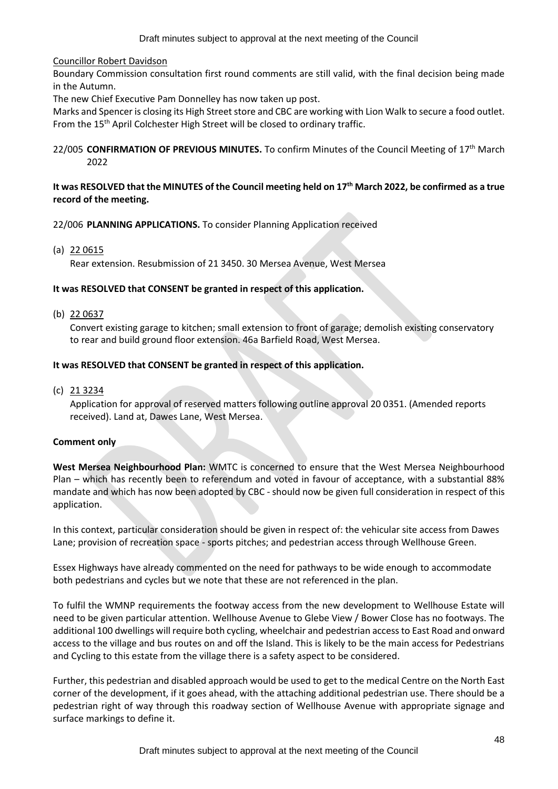### Councillor Robert Davidson

Boundary Commission consultation first round comments are still valid, with the final decision being made in the Autumn.

The new Chief Executive Pam Donnelley has now taken up post.

Marks and Spencer is closing its High Street store and CBC are working with Lion Walk to secure a food outlet. From the 15<sup>th</sup> April Colchester High Street will be closed to ordinary traffic.

### 22/005 **CONFIRMATION OF PREVIOUS MINUTES.** To confirm Minutes of the Council Meeting of 17th March 2022

### **It was RESOLVED that the MINUTES of the Council meeting held on 17th March 2022, be confirmed as a true record of the meeting.**

### 22/006 **PLANNING APPLICATIONS.** To consider Planning Application received

(a) 22 0615

Rear extension. Resubmission of 21 3450. 30 Mersea Avenue, West Mersea

### **It was RESOLVED that CONSENT be granted in respect of this application.**

(b) 22 0637

Convert existing garage to kitchen; small extension to front of garage; demolish existing conservatory to rear and build ground floor extension. 46a Barfield Road, West Mersea.

### **It was RESOLVED that CONSENT be granted in respect of this application.**

(c) 21 3234

Application for approval of reserved matters following outline approval 20 0351. (Amended reports received). Land at, Dawes Lane, West Mersea.

### **Comment only**

**West Mersea Neighbourhood Plan:** WMTC is concerned to ensure that the West Mersea Neighbourhood Plan – which has recently been to referendum and voted in favour of acceptance, with a substantial 88% mandate and which has now been adopted by CBC - should now be given full consideration in respect of this application.

In this context, particular consideration should be given in respect of: the vehicular site access from Dawes Lane; provision of recreation space - sports pitches; and pedestrian access through Wellhouse Green.

Essex Highways have already commented on the need for pathways to be wide enough to accommodate both pedestrians and cycles but we note that these are not referenced in the plan.

To fulfil the WMNP requirements the footway access from the new development to Wellhouse Estate will need to be given particular attention. Wellhouse Avenue to Glebe View / Bower Close has no footways. The additional 100 dwellings will require both cycling, wheelchair and pedestrian access to East Road and onward access to the village and bus routes on and off the Island. This is likely to be the main access for Pedestrians and Cycling to this estate from the village there is a safety aspect to be considered.

Further, this pedestrian and disabled approach would be used to get to the medical Centre on the North East corner of the development, if it goes ahead, with the attaching additional pedestrian use. There should be a pedestrian right of way through this roadway section of Wellhouse Avenue with appropriate signage and surface markings to define it.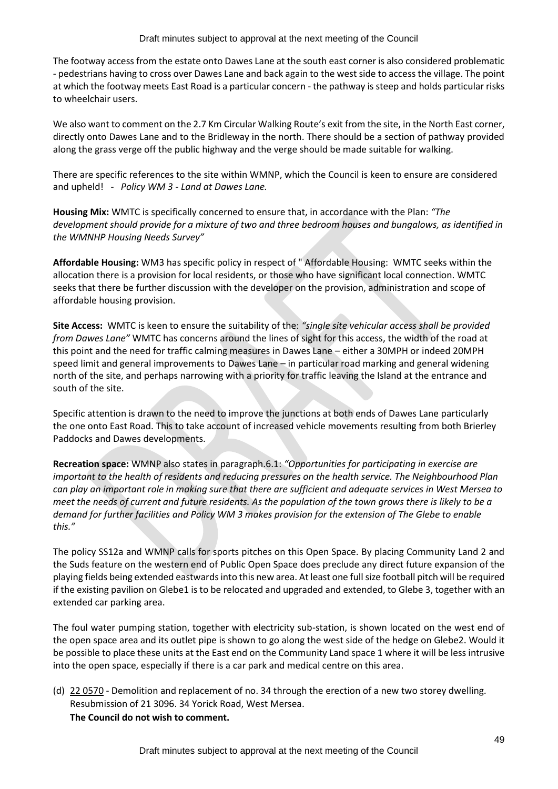The footway access from the estate onto Dawes Lane at the south east corner is also considered problematic - pedestrians having to cross over Dawes Lane and back again to the west side to access the village. The point at which the footway meets East Road is a particular concern - the pathway is steep and holds particular risks to wheelchair users.

We also want to comment on the 2.7 Km Circular Walking Route's exit from the site, in the North East corner, directly onto Dawes Lane and to the Bridleway in the north. There should be a section of pathway provided along the grass verge off the public highway and the verge should be made suitable for walking.

There are specific references to the site within WMNP, which the Council is keen to ensure are considered and upheld! *- Policy WM 3 - Land at Dawes Lane.*

**Housing Mix:** WMTC is specifically concerned to ensure that, in accordance with the Plan: *"The development should provide for a mixture of two and three bedroom houses and bungalows, as identified in the WMNHP Housing Needs Survey"* 

**Affordable Housing:** WM3 has specific policy in respect of " Affordable Housing: WMTC seeks within the allocation there is a provision for local residents, or those who have significant local connection. WMTC seeks that there be further discussion with the developer on the provision, administration and scope of affordable housing provision.

**Site Access:** WMTC is keen to ensure the suitability of the: *"single site vehicular access shall be provided from Dawes Lane"* WMTC has concerns around the lines of sight for this access, the width of the road at this point and the need for traffic calming measures in Dawes Lane – either a 30MPH or indeed 20MPH speed limit and general improvements to Dawes Lane – in particular road marking and general widening north of the site, and perhaps narrowing with a priority for traffic leaving the Island at the entrance and south of the site.

Specific attention is drawn to the need to improve the junctions at both ends of Dawes Lane particularly the one onto East Road. This to take account of increased vehicle movements resulting from both Brierley Paddocks and Dawes developments.

**Recreation space:** WMNP also states in paragraph.6.1: *"Opportunities for participating in exercise are important to the health of residents and reducing pressures on the health service. The Neighbourhood Plan can play an important role in making sure that there are sufficient and adequate services in West Mersea to meet the needs of current and future residents. As the population of the town grows there is likely to be a demand for further facilities and Policy WM 3 makes provision for the extension of The Glebe to enable this."*

The policy SS12a and WMNP calls for sports pitches on this Open Space. By placing Community Land 2 and the Suds feature on the western end of Public Open Space does preclude any direct future expansion of the playing fields being extended eastwards into this new area. At least one full size football pitch will be required if the existing pavilion on Glebe1 is to be relocated and upgraded and extended, to Glebe 3, together with an extended car parking area.

The foul water pumping station, together with electricity sub-station, is shown located on the west end of the open space area and its outlet pipe is shown to go along the west side of the hedge on Glebe2. Would it be possible to place these units at the East end on the Community Land space 1 where it will be less intrusive into the open space, especially if there is a car park and medical centre on this area.

(d) 22 0570 - Demolition and replacement of no. 34 through the erection of a new two storey dwelling. Resubmission of 21 3096. 34 Yorick Road, West Mersea. **The Council do not wish to comment.**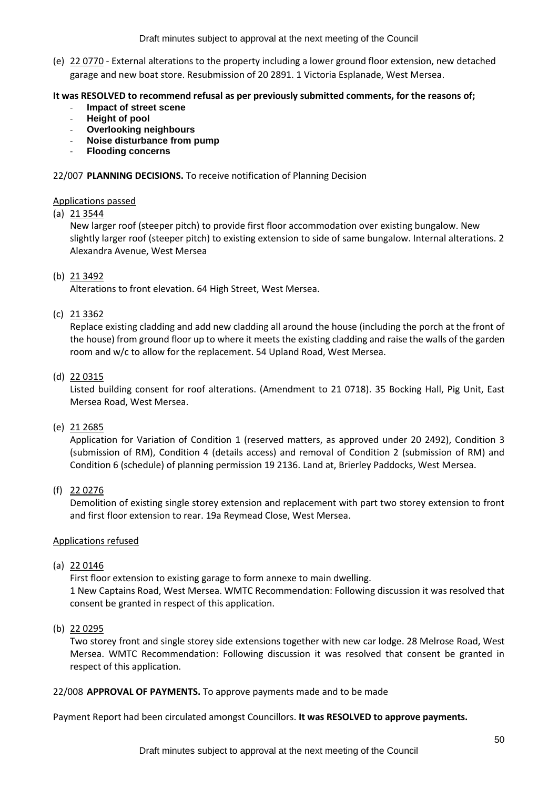Draft minutes subject to approval at the next meeting of the Council

(e) 22 0770 - External alterations to the property including a lower ground floor extension, new detached garage and new boat store. Resubmission of 20 2891. 1 Victoria Esplanade, West Mersea.

## **It was RESOLVED to recommend refusal as per previously submitted comments, for the reasons of;**

- **Impact of street scene**
- **Height of pool**
- **Overlooking neighbours**
- **Noise disturbance from pump**
- **Flooding concerns**

## 22/007 **PLANNING DECISIONS.** To receive notification of Planning Decision

## Applications passed

# (a) 21 3544

New larger roof (steeper pitch) to provide first floor accommodation over existing bungalow. New slightly larger roof (steeper pitch) to existing extension to side of same bungalow. Internal alterations. 2 Alexandra Avenue, West Mersea

# (b) 21 3492

Alterations to front elevation. 64 High Street, West Mersea.

# (c) 21 3362

Replace existing cladding and add new cladding all around the house (including the porch at the front of the house) from ground floor up to where it meets the existing cladding and raise the walls of the garden room and w/c to allow for the replacement. 54 Upland Road, West Mersea.

# (d) 22 0315

Listed building consent for roof alterations. (Amendment to 21 0718). 35 Bocking Hall, Pig Unit, East Mersea Road, West Mersea.

## (e) 21 2685

Application for Variation of Condition 1 (reserved matters, as approved under 20 2492), Condition 3 (submission of RM), Condition 4 (details access) and removal of Condition 2 (submission of RM) and Condition 6 (schedule) of planning permission 19 2136. Land at, Brierley Paddocks, West Mersea.

## (f) 22 0276

Demolition of existing single storey extension and replacement with part two storey extension to front and first floor extension to rear. 19a Reymead Close, West Mersea.

## Applications refused

## (a) 22 0146

First floor extension to existing garage to form annexe to main dwelling. 1 New Captains Road, West Mersea. WMTC Recommendation: Following discussion it was resolved that consent be granted in respect of this application.

## (b) 22 0295

Two storey front and single storey side extensions together with new car lodge. 28 Melrose Road, West Mersea. WMTC Recommendation: Following discussion it was resolved that consent be granted in respect of this application.

## 22/008 **APPROVAL OF PAYMENTS.** To approve payments made and to be made

Payment Report had been circulated amongst Councillors. **It was RESOLVED to approve payments.**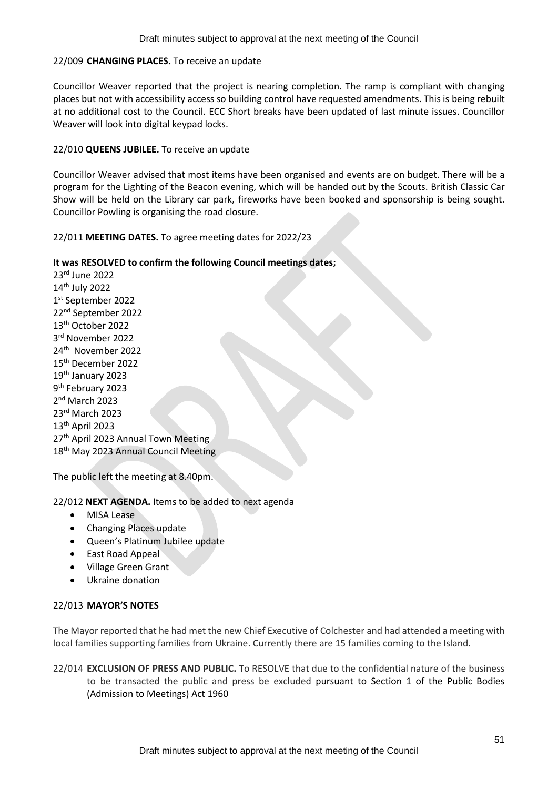### 22/009 **CHANGING PLACES.** To receive an update

Councillor Weaver reported that the project is nearing completion. The ramp is compliant with changing places but not with accessibility access so building control have requested amendments. This is being rebuilt at no additional cost to the Council. ECC Short breaks have been updated of last minute issues. Councillor Weaver will look into digital keypad locks.

### 22/010 **QUEENS JUBILEE.** To receive an update

Councillor Weaver advised that most items have been organised and events are on budget. There will be a program for the Lighting of the Beacon evening, which will be handed out by the Scouts. British Classic Car Show will be held on the Library car park, fireworks have been booked and sponsorship is being sought. Councillor Powling is organising the road closure.

22/011 **MEETING DATES.** To agree meeting dates for 2022/23

### **It was RESOLVED to confirm the following Council meetings dates;**

rd June 2022 th July 2022 st September 2022 nd September 2022 th October 2022 rd November 2022 24<sup>th</sup> November 2022 th December 2022 th January 2023 9<sup>th</sup> February 2023 nd March 2023 rd March 2023 th April 2023 27<sup>th</sup> April 2023 Annual Town Meeting 18<sup>th</sup> May 2023 Annual Council Meeting

The public left the meeting at 8.40pm.

22/012 **NEXT AGENDA.** Items to be added to next agenda

- **MISA Lease**
- Changing Places update
- Queen's Platinum Jubilee update
- East Road Appeal
- Village Green Grant
- Ukraine donation

### 22/013 **MAYOR'S NOTES**

The Mayor reported that he had met the new Chief Executive of Colchester and had attended a meeting with local families supporting families from Ukraine. Currently there are 15 families coming to the Island.

22/014 **EXCLUSION OF PRESS AND PUBLIC.** To RESOLVE that due to the confidential nature of the business to be transacted the public and press be excluded pursuant to Section 1 of the Public Bodies (Admission to Meetings) Act 1960